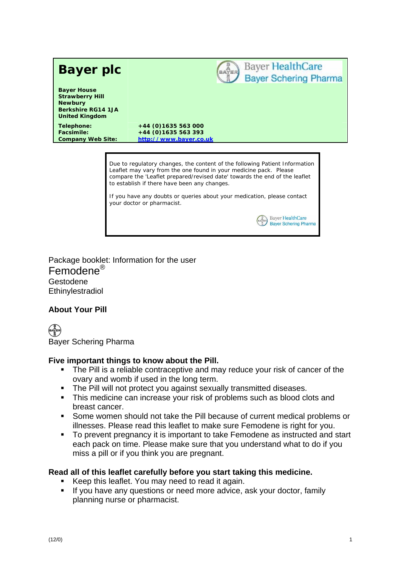

Due to regulatory changes, the content of the following Patient Information Leaflet may vary from the one found in your medicine pack. Please compare the 'Leaflet prepared/revised date' towards the end of the leaflet to establish if there have been any changes.

> **Bayer HealthCare Bayer Schering Pharma**

If you have any doubts or queries about your medication, please contact your doctor or pharmacist.

Package booklet: Information for the user Femodene<sup>®</sup> Gestodene Ethinylestradiol

# **About Your Pill**

(⊨APER **Bayer Schering Pharma** 

# Five important things to know about the Pill.

- The Pill is a reliable contraceptive and may reduce your risk of cancer of the ovary and womb if used in the long term.
- The Pill will not protect you against sexually transmitted diseases.  $\blacksquare$
- $\blacksquare$ This medicine can increase your risk of problems such as blood clots and breast cancer.
- Some women should not take the Pill because of current medical problems or illnesses. Please read this leaflet to make sure Femodene is right for you.
- To prevent pregnancy it is important to take Femodene as instructed and start  $\blacksquare$ each pack on time. Please make sure that you understand what to do if you miss a pill or if you think you are pregnant.

# Read all of this leaflet carefully before you start taking this medicine.

- $\mathbf{r}$ Keep this leaflet. You may need to read it again.
- If you have any questions or need more advice, ask your doctor, family planning nurse or pharmacist.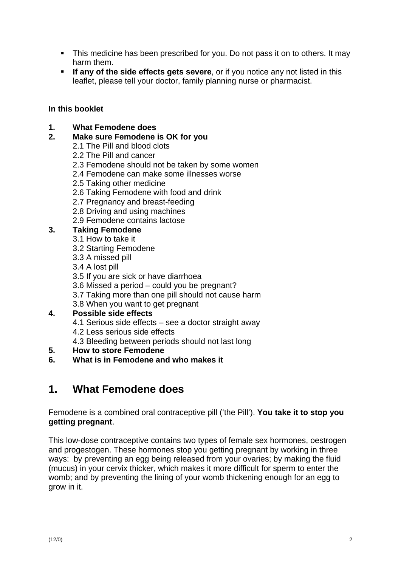- This medicine has been prescribed for you. Do not pass it on to others. It may harm them.
- If any of the side effects gets severe, or if you notice any not listed in this leaflet, please tell your doctor, family planning nurse or pharmacist.

# In this booklet

- $1<sub>1</sub>$ **What Femodene does**
- $2.$ Make sure Femodene is OK for you
	- 2.1 The Pill and blood clots
	- 2.2 The Pill and cancer
	- 2.3 Femodene should not be taken by some women
	- 2.4 Femodene can make some illnesses worse
	- 2.5 Taking other medicine
	- 2.6 Taking Femodene with food and drink
	- 2.7 Pregnancy and breast-feeding
	- 2.8 Driving and using machines
	- 2.9 Femodene contains lactose

#### $3.$ **Taking Femodene**

- 3.1 How to take it
- 3.2 Starting Femodene
- 3.3 A missed pill
- 3.4 A lost pill
- 3.5 If you are sick or have diarrhoea
- 3.6 Missed a period could you be pregnant?
- 3.7 Taking more than one pill should not cause harm
- 3.8 When you want to get pregnant

#### $4.$ Possible side effects

- 4.1 Serious side effects see a doctor straight away
- 4.2 Less serious side effects
- 4.3 Bleeding between periods should not last long
- **How to store Femodene**  $5.$
- 6 What is in Femodene and who makes it

#### $1<sub>1</sub>$ **What Femodene does**

Femodene is a combined oral contraceptive pill ('the Pill'). You take it to stop you getting pregnant.

This low-dose contraceptive contains two types of female sex hormones, oestrogen and progestogen. These hormones stop you getting pregnant by working in three ways: by preventing an egg being released from your ovaries; by making the fluid (mucus) in your cervix thicker, which makes it more difficult for sperm to enter the womb: and by preventing the lining of your womb thickening enough for an egg to grow in it.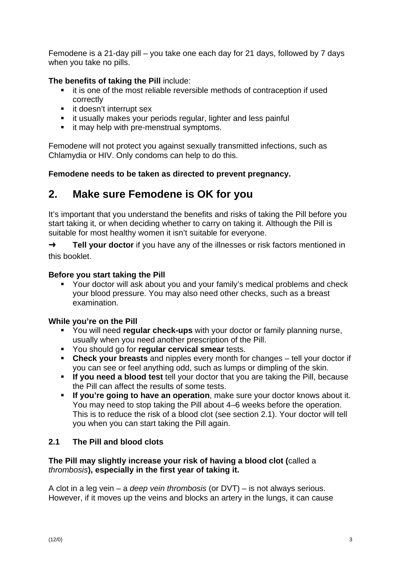Femodene is a 21-day pill – you take one each day for 21 days, followed by 7 days when you take no pills.

# The benefits of taking the Pill include:

- it is one of the most reliable reversible methods of contraception if used correctly
- it doesn't interrupt sex
- it usually makes your periods regular, lighter and less painful
- it may help with pre-menstrual symptoms.

Femodene will not protect you against sexually transmitted infections, such as Chlamydia or HIV. Only condoms can help to do this.

Femodene needs to be taken as directed to prevent pregnancy.

### Make sure Femodene is OK for you  $2.$

It's important that you understand the benefits and risks of taking the Pill before you start taking it, or when deciding whether to carry on taking it. Although the Pill is suitable for most healthy women it isn't suitable for everyone.

 $\rightarrow$ Tell your doctor if you have any of the illnesses or risk factors mentioned in this booklet.

# Before you start taking the Pill

• Your doctor will ask about you and your family's medical problems and check your blood pressure. You may also need other checks, such as a breast examination.

# While you're on the Pill

- You will need regular check-ups with your doctor or family planning nurse. usually when you need another prescription of the Pill.
- " You should go for regular cervical smear tests.
- Check your breasts and nipples every month for changes tell your doctor if you can see or feel anything odd, such as lumps or dimpling of the skin.
- If you need a blood test tell your doctor that you are taking the Pill, because the Pill can affect the results of some tests.
- $\mathbf{r}$ If you're going to have an operation, make sure your doctor knows about it. You may need to stop taking the Pill about 4–6 weeks before the operation. This is to reduce the risk of a blood clot (see section 2.1). Your doctor will tell vou when you can start taking the Pill again.

#### $2.1$ The Pill and blood clots

## The Pill may slightly increase your risk of having a blood clot (called a thrombosis), especially in the first year of taking it.

A clot in a leg vein – a deep vein thrombosis (or  $DVT$ ) – is not always serious. However, if it moves up the veins and blocks an artery in the lungs, it can cause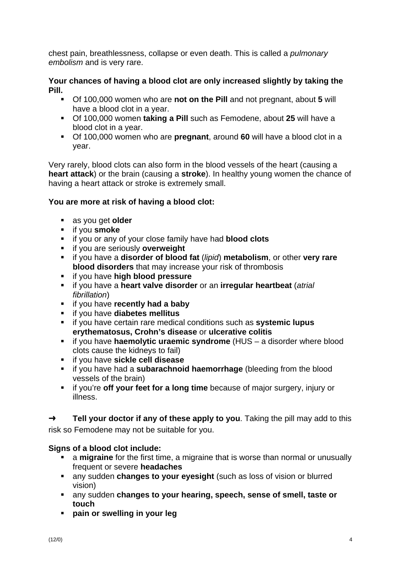chest pain, breathlessness, collapse or even death. This is called a *pulmonary* embolism and is very rare.

Your chances of having a blood clot are only increased slightly by taking the Pill.

- Of 100,000 women who are not on the Pill and not pregnant, about 5 will have a blood clot in a vear.
- Of 100,000 women taking a Pill such as Femodene, about 25 will have a blood clot in a year.
- Of 100,000 women who are pregnant, around 60 will have a blood clot in a vear.

Very rarely, blood clots can also form in the blood vessels of the heart (causing a heart attack) or the brain (causing a stroke). In healthy young women the chance of having a heart attack or stroke is extremely small.

# You are more at risk of having a blood clot:

- as you get older
- if you smoke
- if you or any of your close family have had **blood clots**
- if you are seriously overweight
- if you have a disorder of blood fat (lipid) metabolism, or other very rare blood disorders that may increase your risk of thrombosis
- " if you have high blood pressure
- if you have a heart valve disorder or an irregular heartbeat (atrial fibrillation)
- " if you have recently had a baby
- if you have diabetes mellitus
- if you have certain rare medical conditions such as systemic lupus erythematosus, Crohn's disease or ulcerative colitis
- if you have haemolytic uraemic syndrome (HUS a disorder where blood clots cause the kidneys to fail)
- " if you have sickle cell disease
- if you have had a subarachnoid haemorrhage (bleeding from the blood vessels of the brain)
- if you're off your feet for a long time because of major surgery, injury or illness.

Tell your doctor if any of these apply to you. Taking the pill may add to this  $\rightarrow$ risk so Femodene may not be suitable for you.

# Signs of a blood clot include:

- a migraine for the first time, a migraine that is worse than normal or unusually frequent or severe headaches
- any sudden changes to your eyesight (such as loss of vision or blurred vision)
- any sudden changes to your hearing, speech, sense of smell, taste or touch
- · pain or swelling in your leg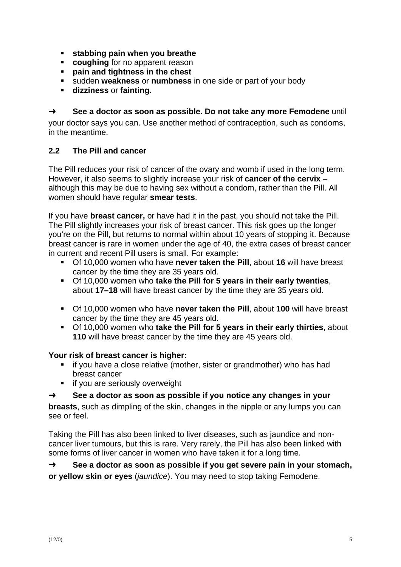- stabbing pain when you breathe
- coughing for no apparent reason
- $\blacksquare$ pain and tightness in the chest
- " sudden weakness or numbness in one side or part of your body
- **dizziness or fainting.**

#### $\rightarrow$ See a doctor as soon as possible. Do not take any more Femodene until

your doctor says you can. Use another method of contraception, such as condoms, in the meantime.

#### $2.2$ The Pill and cancer

The Pill reduces your risk of cancer of the ovary and womb if used in the long term. However, it also seems to slightly increase your risk of cancer of the cervix although this may be due to having sex without a condom, rather than the Pill. All women should have regular smear tests.

If you have **breast cancer**, or have had it in the past, you should not take the Pill. The Pill slightly increases your risk of breast cancer. This risk goes up the longer you're on the Pill, but returns to normal within about 10 years of stopping it. Because breast cancer is rare in women under the age of 40, the extra cases of breast cancer in current and recent Pill users is small. For example:

- Of 10,000 women who have never taken the Pill, about 16 will have breast cancer by the time they are 35 years old.
- Of 10,000 women who take the Pill for 5 years in their early twenties. about 17-18 will have breast cancer by the time they are 35 years old.
- Of 10,000 women who have never taken the Pill, about 100 will have breast cancer by the time they are 45 years old.
- Of 10,000 women who take the Pill for 5 years in their early thirties, about 110 will have breast cancer by the time they are 45 years old.

### Your risk of breast cancer is higher:

- if you have a close relative (mother, sister or grandmother) who has had breast cancer
- if you are seriously overweight

#### See a doctor as soon as possible if you notice any changes in your  $\rightarrow$

breasts, such as dimpling of the skin, changes in the nipple or any lumps you can see or feel.

Taking the Pill has also been linked to liver diseases, such as jaundice and noncancer liver tumours, but this is rare. Very rarely, the Pill has also been linked with some forms of liver cancer in women who have taken it for a long time.

 $\rightarrow$ See a doctor as soon as possible if you get severe pain in your stomach, or yellow skin or eyes (jaundice). You may need to stop taking Femodene.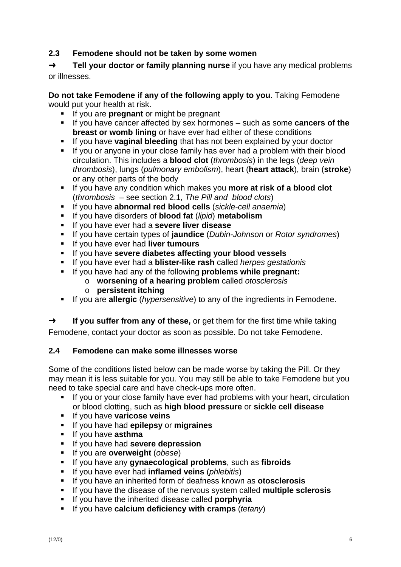#### $2.3$ Femodene should not be taken by some women

 $\rightarrow$ Tell your doctor or family planning nurse if you have any medical problems or illnesses.

Do not take Femodene if any of the following apply to you. Taking Femodene would put your health at risk.

- If you are **pregnant** or might be pregnant
- If you have cancer affected by sex hormones such as some cancers of the breast or womb lining or have ever had either of these conditions
- If you have vaginal bleeding that has not been explained by your doctor
- If you or anyone in your close family has ever had a problem with their blood circulation. This includes a **blood clot** (*thrombosis*) in the legs (*deep vein*) thrombosis), lungs (pulmonary embolism), heart (heart attack), brain (stroke) or any other parts of the body
- If you have any condition which makes you more at risk of a blood clot  $\mathbf{u}$ (thrombosis  $-$  see section 2.1, The Pill and blood clots)
- If you have abnormal red blood cells (sickle-cell anaemia)  $\blacksquare$
- $\blacksquare$  . If you have disorders of **blood fat** (*lipid*) metabolism
- If you have ever had a severe liver disease
- If you have certain types of jaundice (Dubin-Johnson or Rotor syndromes)
- If you have ever had liver tumours
- If you have severe diabetes affecting your blood vessels
- If you have ever had a **blister-like rash** called *herpes gestationis*
- If you have had any of the following **problems while pregnant:**  $\mathbf{u}$ 
	- o worsening of a hearing problem called otosclerosis
	- $\circ$  persistent itching
- If you are **allergic** (*hypersensitive*) to any of the ingredients in Femodene.

 $\rightarrow$ If you suffer from any of these, or get them for the first time while taking Femodene, contact your doctor as soon as possible. Do not take Femodene.

#### $2.4$ Femodene can make some illnesses worse

Some of the conditions listed below can be made worse by taking the Pill. Or they may mean it is less suitable for you. You may still be able to take Femodene but you need to take special care and have check-ups more often.

- If you or your close family have ever had problems with your heart, circulation  $\mathbf{r}$ or blood clotting, such as high blood pressure or sickle cell disease
- If you have varicose veins
- If you have had epilepsy or migraines
- If you have asthma
- If you have had severe depression
- If you are overweight (obese)
- $\mathbf{u}$  . If you have any **gynaecological problems**, such as fibroids
- If you have ever had inflamed veins (phlebitis)  $\mathbf{r}$
- $\mathbf{r}$ If you have an inherited form of deafness known as otosclerosis
- If you have the disease of the nervous system called multiple sclerosis
- If you have the inherited disease called **porphyria**
- If you have calcium deficiency with cramps (tetany)  $\mathbf{r}$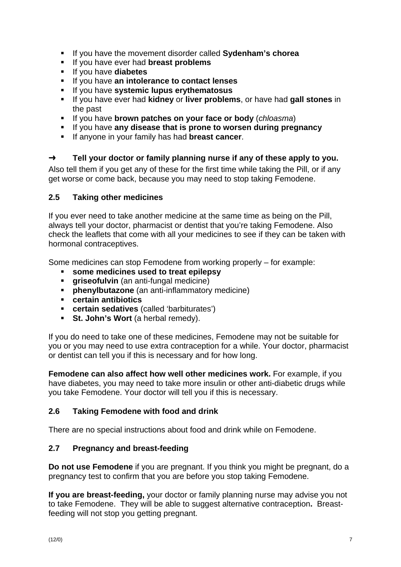- If you have the movement disorder called Sydenham's chorea
- If you have ever had breast problems
- If you have diabetes
- If you have an intolerance to contact lenses
- If you have systemic lupus erythematosus
- If you have ever had kidney or liver problems, or have had gall stones in the past
- If you have brown patches on your face or body (chloasma)
- If you have any disease that is prone to worsen during pregnancy
- If anyone in your family has had **breast cancer**.

#### $\rightarrow$ Tell your doctor or family planning nurse if any of these apply to you.

Also tell them if you get any of these for the first time while taking the Pill, or if any get worse or come back, because you may need to stop taking Femodene.

#### $2.5$ **Taking other medicines**

If you ever need to take another medicine at the same time as being on the Pill, always tell your doctor, pharmacist or dentist that you're taking Femodene. Also check the leaflets that come with all your medicines to see if they can be taken with hormonal contraceptives.

Some medicines can stop Femodene from working properly – for example:

- some medicines used to treat epilepsy  $\mathbf{r}$
- griseofulvin (an anti-fungal medicine)  $\mathbf{u}$
- phenylbutazone (an anti-inflammatory medicine)
- certain antibiotics
- " certain sedatives (called 'barbiturates')
- St. John's Wort (a herbal remedy).

If you do need to take one of these medicines, Femodene may not be suitable for you or you may need to use extra contraception for a while. Your doctor, pharmacist or dentist can tell you if this is necessary and for how long.

Femodene can also affect how well other medicines work. For example, if you have diabetes, you may need to take more insulin or other anti-diabetic drugs while you take Femodene. Your doctor will tell you if this is necessary.

#### $2.6$ **Taking Femodene with food and drink**

There are no special instructions about food and drink while on Femodene.

#### $2.7$ **Pregnancy and breast-feeding**

Do not use Femodene if you are pregnant. If you think you might be pregnant, do a pregnancy test to confirm that you are before you stop taking Femodene.

If you are breast-feeding, your doctor or family planning nurse may advise you not to take Femodene. They will be able to suggest alternative contraception. Breastfeeding will not stop you getting pregnant.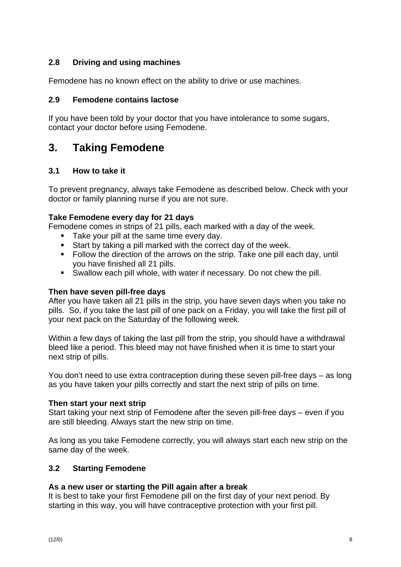#### $2.8$ Driving and using machines

Femodene has no known effect on the ability to drive or use machines.

#### $2.9$ **Femodene contains lactose**

If you have been told by your doctor that you have intolerance to some sugars, contact your doctor before using Femodene.

#### $3<sub>1</sub>$ **Taking Femodene**

#### $3.1$ How to take it

To prevent pregnancy, always take Femodene as described below. Check with your doctor or family planning nurse if you are not sure.

## Take Femodene every day for 21 days

Femodene comes in strips of 21 pills, each marked with a day of the week.

- Take your pill at the same time every day.
- Start by taking a pill marked with the correct day of the week.
- Follow the direction of the arrows on the strip. Take one pill each day, until you have finished all 21 pills.
- Swallow each pill whole, with water if necessary. Do not chew the pill.

# Then have seven pill-free davs

After you have taken all 21 pills in the strip, you have seven days when you take no pills. So, if you take the last pill of one pack on a Friday, you will take the first pill of your next pack on the Saturday of the following week.

Within a few days of taking the last pill from the strip, you should have a withdrawal bleed like a period. This bleed may not have finished when it is time to start your next strip of pills.

You don't need to use extra contraception during these seven pill-free days – as long as you have taken your pills correctly and start the next strip of pills on time.

### Then start your next strip

Start taking your next strip of Femodene after the seven pill-free days – even if you are still bleeding. Always start the new strip on time.

As long as you take Femodene correctly, you will always start each new strip on the same day of the week.

#### $3.2$ **Starting Femodene**

# As a new user or starting the Pill again after a break

It is best to take your first Femodene pill on the first day of your next period. By starting in this way, you will have contraceptive protection with your first pill.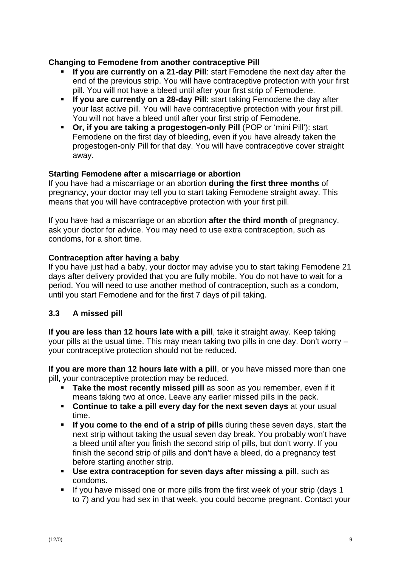## Changing to Femodene from another contraceptive Pill

- If you are currently on a 21-day Pill: start Femodene the next day after the end of the previous strip. You will have contraceptive protection with your first pill. You will not have a bleed until after your first strip of Femodene.
- **If you are currently on a 28-day Pill:** start taking Femodene the day after your last active pill. You will have contraceptive protection with your first pill. You will not have a bleed until after your first strip of Femodene.
- Or, if you are taking a progestogen-only Pill (POP or 'mini Pill'): start Femodene on the first day of bleeding, even if you have already taken the progestogen-only Pill for that day. You will have contraceptive cover straight away.

### Starting Femodene after a miscarriage or abortion

If you have had a miscarriage or an abortion during the first three months of pregnancy, your doctor may tell you to start taking Femodene straight away. This means that you will have contraceptive protection with your first pill.

If you have had a miscarriage or an abortion **after the third month** of pregnancy, ask your doctor for advice. You may need to use extra contraception, such as condoms, for a short time.

## Contraception after having a baby

If you have just had a baby, your doctor may advise you to start taking Femodene 21 days after delivery provided that you are fully mobile. You do not have to wait for a period. You will need to use another method of contraception, such as a condom, until you start Femodene and for the first 7 days of pill taking.

#### $3.3$ A missed pill

If you are less than 12 hours late with a pill, take it straight away. Keep taking your pills at the usual time. This may mean taking two pills in one day. Don't worry your contraceptive protection should not be reduced.

If you are more than 12 hours late with a pill, or you have missed more than one pill, your contraceptive protection may be reduced.

- Take the most recently missed pill as soon as you remember, even if it means taking two at once. Leave any earlier missed pills in the pack.
- Continue to take a pill every day for the next seven days at your usual time.
- $\mathbf{u}$  . If you come to the end of a strip of pills during these seven days, start the next strip without taking the usual seven day break. You probably won't have a bleed until after you finish the second strip of pills, but don't worry. If you finish the second strip of pills and don't have a bleed, do a pregnancy test before starting another strip.
- Use extra contraception for seven days after missing a pill, such as condoms.
- If you have missed one or more pills from the first week of your strip (days 1 to 7) and you had sex in that week, you could become pregnant. Contact your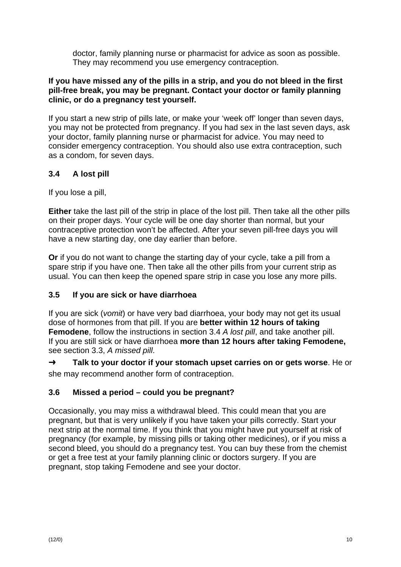doctor, family planning nurse or pharmacist for advice as soon as possible. They may recommend you use emergency contraception.

### If you have missed any of the pills in a strip, and you do not bleed in the first pill-free break, you may be pregnant. Contact your doctor or family planning clinic, or do a pregnancy test yourself.

If you start a new strip of pills late, or make your 'week off' longer than seven days, you may not be protected from pregnancy. If you had sex in the last seven days, ask your doctor, family planning nurse or pharmacist for advice. You may need to consider emergency contraception. You should also use extra contraception, such as a condom, for seven days.

#### $3.4$ A lost pill

If you lose a pill,

Either take the last pill of the strip in place of the lost pill. Then take all the other pills on their proper days. Your cycle will be one day shorter than normal, but your contraceptive protection won't be affected. After your seven pill-free days you will have a new starting day, one day earlier than before.

Or if you do not want to change the starting day of your cycle, take a pill from a spare strip if you have one. Then take all the other pills from your current strip as usual. You can then keep the opened spare strip in case you lose any more pills.

#### $3.5$ If you are sick or have diarrhoea

If you are sick (vomit) or have very bad diarrhoea, your body may not get its usual dose of hormones from that pill. If you are better within 12 hours of taking **Femodene, follow the instructions in section 3.4 A lost pill, and take another pill.** If you are still sick or have diarrhoea more than 12 hours after taking Femodene, see section 3.3, A missed pill.

 $\rightarrow$ Talk to your doctor if your stomach upset carries on or gets worse. He or she may recommend another form of contraception.

#### $3.6$ Missed a period – could you be pregnant?

Occasionally, you may miss a withdrawal bleed. This could mean that you are pregnant, but that is very unlikely if you have taken your pills correctly. Start your next strip at the normal time. If you think that you might have put yourself at risk of pregnancy (for example, by missing pills or taking other medicines), or if you miss a second bleed, you should do a pregnancy test. You can buy these from the chemist or get a free test at your family planning clinic or doctors surgery. If you are pregnant, stop taking Femodene and see your doctor.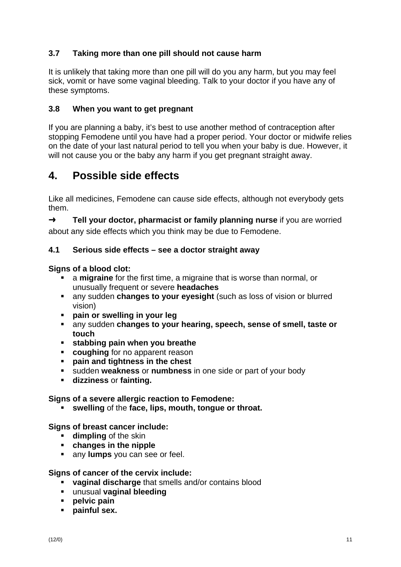#### $3.7$ Taking more than one pill should not cause harm

It is unlikely that taking more than one pill will do you any harm, but you may feel sick, vomit or have some vaginal bleeding. Talk to your doctor if you have any of these symptoms.

#### $3.8$ When you want to get pregnant

If you are planning a baby, it's best to use another method of contraception after stopping Femodene until you have had a proper period. Your doctor or midwife relies on the date of your last natural period to tell you when your baby is due. However, it will not cause you or the baby any harm if you get pregnant straight away.

### $\mathbf{\Delta}$ Possible side effects

Like all medicines, Femodene can cause side effects, although not everybody gets them.

 $\rightarrow$ Tell your doctor, pharmacist or family planning nurse if you are worried about any side effects which you think may be due to Femodene.

#### $41$ Serious side effects - see a doctor straight away

### Signs of a blood clot:

- a migraine for the first time, a migraine that is worse than normal, or unusually frequent or severe headaches
- any sudden changes to your eyesight (such as loss of vision or blurred vision)
- · pain or swelling in your leg
- any sudden changes to your hearing, speech, sense of smell, taste or touch
- **stabbing pain when you breathe**
- $\mathbf{r}$ coughing for no apparent reason
- pain and tightness in the chest
- sudden weakness or numbness in one side or part of your body
- dizziness or fainting.

### Signs of a severe allergic reaction to Femodene:

• swelling of the face, lips, mouth, tongue or throat.

### Signs of breast cancer include:

- **dimpling** of the skin
- changes in the nipple
- any lumps you can see or feel.

### Signs of cancer of the cervix include:

- vaginal discharge that smells and/or contains blood
- unusual vaginal bleeding
- pelvic pain
- painful sex.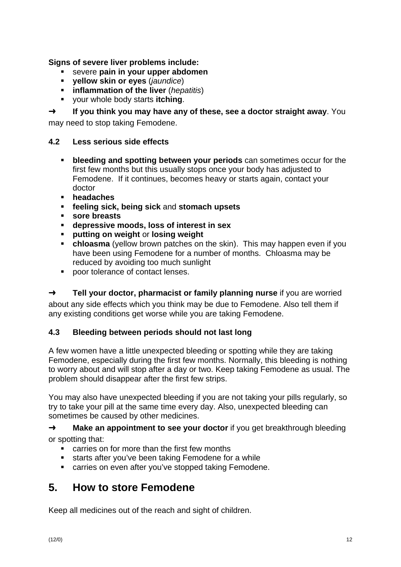Signs of severe liver problems include:

- severe pain in your upper abdomen  $\mathbf{R}^{(1)}$
- vellow skin or eyes (jaundice)
- inflammation of the liver (hepatitis)
- vour whole body starts itching.

If you think you may have any of these, see a doctor straight away. You  $\rightarrow$ 

may need to stop taking Femodene.

#### $4.2$ Less serious side effects

- $\mathbf{u}$ bleeding and spotting between your periods can sometimes occur for the first few months but this usually stops once your body has adjusted to Femodene. If it continues, becomes heavy or starts again, contact your doctor
- headaches
- feeling sick, being sick and stomach upsets
- $\mathbf{r}$ sore breasts
- depressive moods, loss of interest in sex
- putting on weight or losing weight
- **chloasma** (vellow brown patches on the skin). This may happen even if you have been using Femodene for a number of months. Chloasma may be reduced by avoiding too much sunlight
- poor tolerance of contact lenses.

 $\rightarrow$ Tell your doctor, pharmacist or family planning nurse if you are worried about any side effects which you think may be due to Femodene. Also tell them if any existing conditions get worse while you are taking Femodene.

#### $4.3$ Bleeding between periods should not last long

A few women have a little unexpected bleeding or spotting while they are taking Femodene, especially during the first few months. Normally, this bleeding is nothing to worry about and will stop after a day or two. Keep taking Femodene as usual. The problem should disappear after the first few strips.

You may also have unexpected bleeding if you are not taking your pills regularly, so try to take your pill at the same time every day. Also, unexpected bleeding can sometimes be caused by other medicines.

 $\rightarrow$ Make an appointment to see your doctor if you get breakthrough bleeding or spotting that:

- carries on for more than the first few months  $\mathbf{r}$
- $\blacksquare$ starts after you've been taking Femodene for a while
- carries on even after you've stopped taking Femodene.

### $5<sub>-</sub>$ **How to store Femodene**

Keep all medicines out of the reach and sight of children.